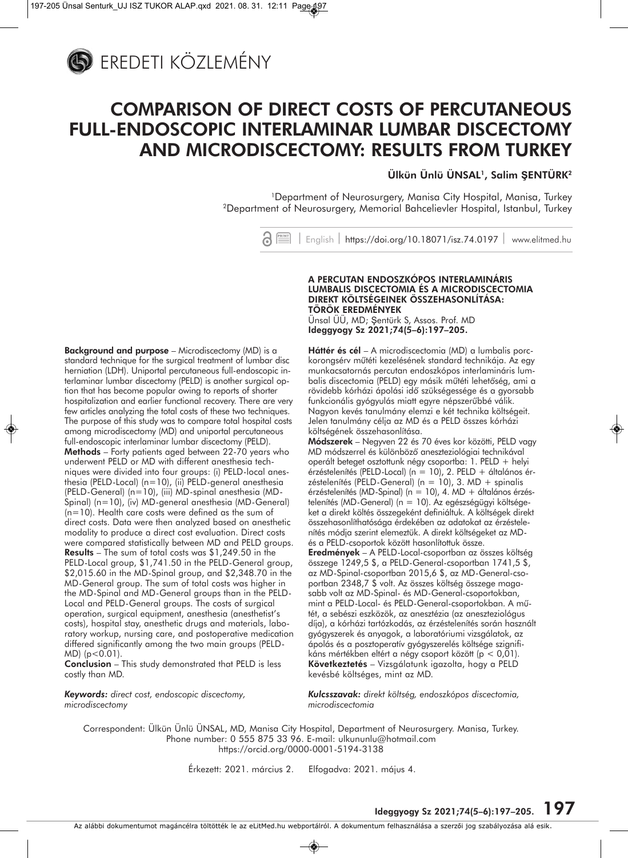

## **COMPARISON OF DIRECT COSTS OF PERCUTANEOUS FULL-ENDOSCOPIC INTERLAMINAR LUMBAR DISCECTOMY AND MICRODISCECTOMY: RESULTS FROM TURKEY**

**Ülkün Ünlü ÜNSAL1, Salim ŞENTÜRK2**

1Department of Neurosurgery, Manisa City Hospital, Manisa, Turkey 2Department of Neurosurgery, Memorial Bahcelievler Hospital, Istanbul, Turkey

> $S \equiv$ | English | https://doi.org/10.18071/isz.74.0197 | www.elitmed.hu

### **Background and purpose** – Microdiscectomy (MD) is a standard technique for the surgical treatment of lumbar disc herniation (LDH). Uniportal percutaneous full-endoscopic in terlaminar lumbar discectomy (PELD) is another surgical option that has become popular owing to reports of shorter hospitalization and earlier functional recovery. There are very few articles analyzing the total costs of these two techniques. The purpose of this study was to compare total hospital costs among microdiscectomy (MD) and uniportal percutaneous full-endoscopic interlaminar lumbar discectomy (PELD). **Methods** – Forty patients aged between 22-70 years who underwent PELD or MD with different anesthesia techniques were divided into four groups: (i) PELD-local anesthesia (PELD-Local) (n=10), (ii) PELD-general anesthesia (PELD-General) (n=10), (iii) MD-spinal anesthesia (MD-Spinal) (n=10), (iv) MD-general anesthesia (MD-General) (n=10). Health care costs were defined as the sum of direct costs. Data were then analyzed based on anesthetic modality to produce a direct cost evaluation. Direct costs were compared statistically between MD and PELD groups. **Results** – The sum of total costs was \$1,249.50 in the PELD-Local group, \$1,741.50 in the PELD-General group, \$2,015.60 in the MD-Spinal group, and \$2,348.70 in the MD-General group. The sum of total costs was higher in the MD-Spinal and MD-General groups than in the PELD-Local and PELD-General groups. The costs of surgical operation, surgical equipment, anesthesia (anesthetist's costs), hospital stay, anesthetic drugs and materials, laboratory workup, nursing care, and postoperative medication diffe red significantly among the two main groups (PELD- $MD$ ) ( $p < 0.01$ ).

**Conclusion** – This study demonstrated that PELD is less costly than MD.

*Keywords: direct cost, endoscopic discectomy, microdiscectomy*

### **A PERCUTAN ENDOSZKÓPOS INTERLAMINÁRIS LUMBALIS DISCECTOMIA ÉS A MICRODISCECTOMIA DIREKT KÖLTSÉGEINEK ÖSSZEHASONLÍTÁSA: TÖRÖK EREDMÉNYEK**

Ünsal ÜÜ, MD; Şentürk S, Assos. Prof. MD **Ideggyogy Sz 2021;74(5–6):197–205.**

**Háttér és cél** – A microdiscectomia (MD) a lumbalis porckorongsérv mûtéti kezelésének standard technikája. Az egy munkacsatornás percutan endoszkópos interlamináris lumbalis discectomia (PELD) egy másik mûtéti lehetôség, ami a rövidebb kórházi ápolási idô szüksé ges sége és a gyorsabb funkcionális gyógyulás miatt egyre népszerűbbé válik. Nagyon kevés tanulmány elemzi e két technika költségeit. Jelen tanulmány célja az MD és a PELD összes kórházi költségének összehasonlítása.

**Módszerek** – Negyven 22 és 70 éves kor közötti, PELD vagy MD módszerrel és különbözô aneszteziológiai technikával operált beteget osztottunk négy csoportba: 1. PELD + helyi érzéstelenítés (PELD-Local) (n = 10), 2. PELD + általános érzéstelenítés (PELD-General) (n = 10), 3. MD + spinalis érzéstelenítés (MD-Spinal) (n = 10), 4. MD + általános érzéstelenítés (MD-General) ( $n = 10$ ). Az egészségügyi költségeket a direkt költés összegeként definiáltuk. A költségek direkt összehasonlíthatósága érdekében az adatokat az érzéstelenítés módja szerint elemeztük. A direkt költségeket az MDés a PELD-csoportok között hasonlítottuk össze.

**Eredmények** – A PELD-Local-csoportban az összes költség összege 1249,5 \$, a PELD-General-csoportban 1741,5 \$, az MD-Spinal-csoportban 2015,6 \$, az MD-General-csoportban 2348,7 \$ volt. Az összes költség összege magasabb volt az MD-Spinal- és MD-General-csoportokban, mint a PELD-Local- és PELD-General-csoportokban. A műtét, a sebészi eszközök, az anesztézia (az aneszteziológus díja), a kórházi tartózkodás, az érzéstelenítés során használt gyógyszerek és anyagok, a laboratóriumi vizsgálatok, az ápolás és a posztoperatív gyógyszerelés költsége szignifikáns mértékben eltért a négy csoport között (p < 0,01). **Következtetés** – Vizsgálatunk igazolta, hogy a PELD kevésbé költséges, mint az MD.

*Kulcsszavak: direkt költség, endoszkópos discectomia, microdiscectomia*

Correspondent: Ülkün Ünlü ÜNSAL, MD, Manisa City Hospital, Department of Neurosurgery. Manisa, Turkey. Phone number: 0 555 875 33 96. E-mail: ulkununlu@hotmail.com https://orcid.org/0000-0001-5194-3138

Érkezett: 2021. március 2. Elfogadva: 2021. május 4.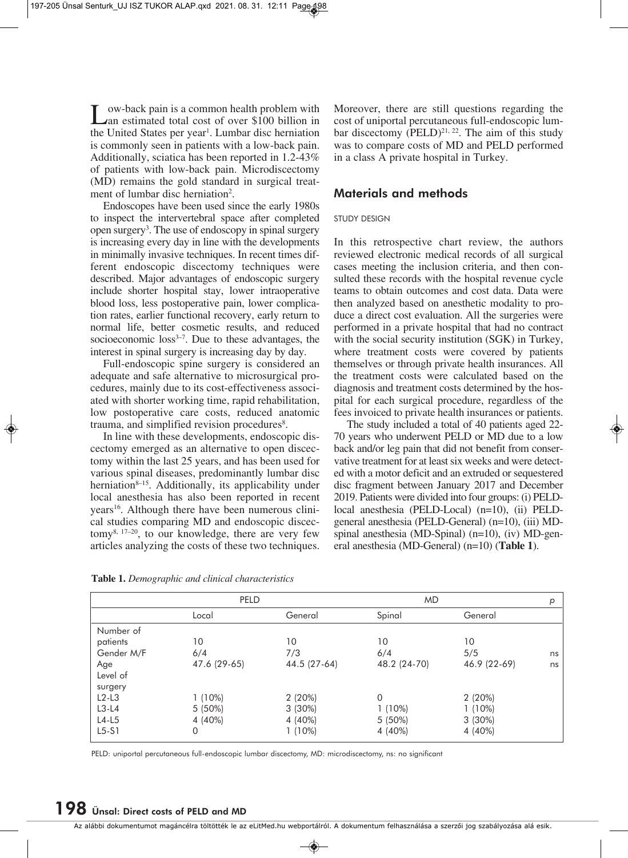Low-back pain is a common health problem with<br>
Lan estimated total cost of over \$100 billion in<br>
the United States name weak Lumber disc haminian the United States per year<sup>1</sup>. Lumbar disc herniation is commonly seen in patients with a low-back pain. Additionally, sciatica has been reported in 1.2-43% of patients with low-back pain. Microdiscectomy (MD) remains the gold standard in surgical treatment of lumbar disc herniation<sup>2</sup>.

Endoscopes have been used since the early 1980s to inspect the intervertebral space after completed open surgery<sup>3</sup>. The use of endoscopy in spinal surgery is increasing every day in line with the developments in minimally invasive techniques. In recent times different endoscopic discectomy techniques were described. Major advantages of endoscopic surgery include shorter hospital stay, lower intraoperative blood loss, less postoperative pain, lower complication rates, earlier functional recovery, early return to normal life, better cosmetic results, and reduced socioeconomic  $loss<sup>3-7</sup>$ . Due to these advantages, the interest in spinal surgery is increasing day by day.

Full-endoscopic spine surgery is considered an adequate and safe alternative to microsurgical procedures, mainly due to its cost-effectiveness associated with shorter working time, rapid rehabilitation, low postoperative care costs, reduced anatomic trauma, and simplified revision procedures<sup>8</sup>.

In line with these developments, endoscopic discectomy emerged as an alternative to open discectomy within the last 25 years, and has been used for various spinal diseases, predominantly lumbar disc herniation $8-15$ . Additionally, its applicability under local anesthesia has also been reported in recent years<sup>16</sup>. Although there have been numerous clinical studies comparing MD and endoscopic discectomy8, 17–20, to our knowledge, there are very few articles analyzing the costs of these two techniques.

Moreover, there are still questions regarding the cost of uniportal percutaneous full-endoscopic lumbar discectomy  $(PELD)^{21, 22}$ . The aim of this study was to compare costs of MD and PELD performed in a class A private hospital in Turkey.

### **Materials and methods**

### STUDY DESIGN

In this retrospective chart review, the authors reviewed electronic medical records of all surgical cases meeting the inclusion criteria, and then consulted these records with the hospital revenue cycle teams to obtain outcomes and cost data. Data were then analyzed based on anesthetic modality to produce a direct cost evaluation. All the surgeries were performed in a private hospital that had no contract with the social security institution (SGK) in Turkey, where treatment costs were covered by patients themselves or through private health insurances. All the treatment costs were calculated based on the diagnosis and treatment costs determined by the hospital for each surgical procedure, regardless of the fees invoiced to private health insurances or patients.

The study included a total of 40 patients aged 22- 70 years who underwent PELD or MD due to a low back and/or leg pain that did not benefit from conservative treatment for at least six weeks and were detected with a motor deficit and an extruded or sequestered disc fragment between January 2017 and December 2019. Patients were divided into four groups: (i) PELDlocal anesthesia (PELD-Local) (n=10), (ii) PELDgeneral anesthesia (PELD-General) (n=10), (iii) MDspinal anesthesia (MD-Spinal) (n=10), (iv) MD-general anesthesia (MD-General) (n=10) (**Table 1**).

|            | PELD         |              | <b>MD</b>    | р            |    |
|------------|--------------|--------------|--------------|--------------|----|
|            | Local        | General      | Spinal       | General      |    |
| Number of  |              |              |              |              |    |
| patients   | 10           | 10           | 10           | 10           |    |
| Gender M/F | 6/4          | 7/3          | 6/4          | 5/5          | ns |
| Age        | 47.6 (29-65) | 44.5 (27-64) | 48.2 (24-70) | 46.9 (22-69) | ns |
| Level of   |              |              |              |              |    |
| surgery    |              |              |              |              |    |
| $L2-L3$    | $1(10\%)$    | $2(20\%)$    | $\Omega$     | 2(20%)       |    |
| $L3-L4$    | $5(50\%)$    | $3(30\%)$    | $1(10\%)$    | $1(10\%)$    |    |
| $L4-L5$    | 4 (40%)      | 4 (40%)      | 5 (50%)      | $3(30\%)$    |    |
| $L5-S1$    | 0            | $(10\%)$     | 4 (40%)      | 4 (40%)      |    |

**Table 1.** *Demographic and clinical characteristics*

PELD: uniportal percutaneous full-endoscopic lumbar discectomy, MD: microdiscectomy, ns: no significant

## **198 Ünsal: Direct costs of PELD and MD**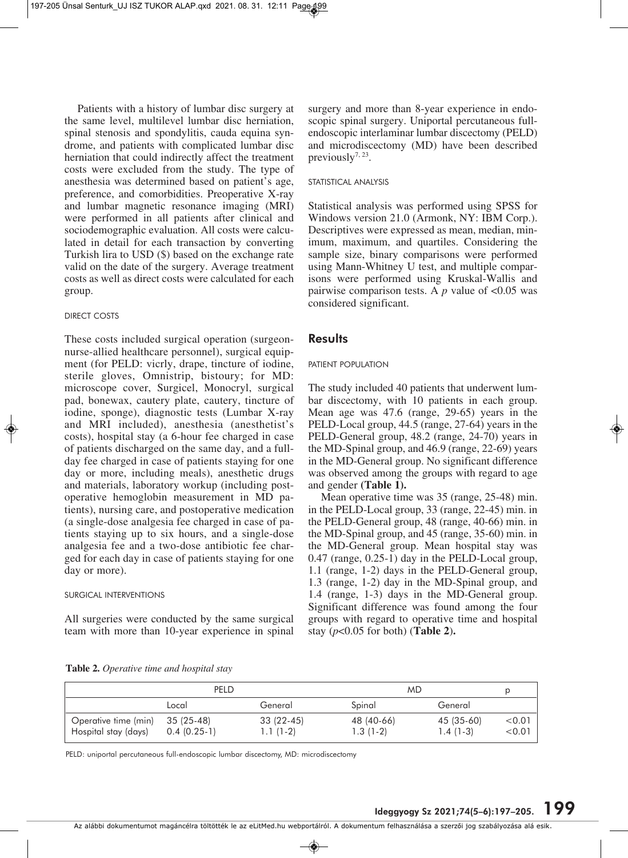Patients with a history of lumbar disc surgery at the same level, multilevel lumbar disc herniation, spinal stenosis and spondylitis, cauda equina syndrome, and patients with complicated lumbar disc herniation that could indirectly affect the treatment costs were excluded from the study. The type of anesthesia was determined based on patient's age, preference, and comorbidities. Preoperative X-ray and lumbar magnetic resonance imaging (MRI) were performed in all patients after clinical and sociodemographic evaluation. All costs were calculated in detail for each transaction by converting Turkish lira to USD (\$) based on the exchange rate valid on the date of the surgery. Average treatment costs as well as direct costs were calculated for each group.

### DIRECT COSTS

These costs included surgical operation (surgeonnurse-allied healthcare personnel), surgical equipment (for PELD: vicrly, drape, tincture of iodine, sterile gloves, Omnistrip, bistoury; for MD: microscope cover, Surgicel, Monocryl, surgical pad, bonewax, cautery plate, cautery, tincture of iodine, sponge), diagnostic tests (Lumbar X-ray and MRI included), anesthesia (anesthetist's costs), hospital stay (a 6-hour fee charged in case of patients discharged on the same day, and a fullday fee charged in case of patients staying for one day or more, including meals), anesthetic drugs and materials, laboratory workup (including postoperative hemoglobin measurement in MD patients), nursing care, and postoperative medication (a single-dose analgesia fee charged in case of patients staying up to six hours, and a single-dose analgesia fee and a two-dose antibiotic fee char ged for each day in case of patients staying for one day or more).

### SURGICAL INTERVENTIONS

All surgeries were conducted by the same surgical team with more than 10-year experience in spinal

surgery and more than 8-year experience in endoscopic spinal surgery. Uniportal percutaneous fullendoscopic interlaminar lumbar discectomy (PELD) and microdiscectomy (MD) have been described previously<sup>7, 23</sup>.

### STATISTICAL ANALYSIS

Statistical analysis was performed using SPSS for Windows version 21.0 (Armonk, NY: IBM Corp.). Descriptives were expressed as mean, median, minimum, maximum, and quartiles. Considering the sample size, binary comparisons were performed using Mann-Whitney U test, and multiple comparisons were performed using Kruskal-Wallis and pairwise comparison tests. A  $p$  value of  $< 0.05$  was considered significant.

### **Results**

#### PATIENT POPULATION

The study included 40 patients that underwent lumbar discectomy, with 10 patients in each group. Mean age was 47.6 (range, 29-65) years in the PELD-Local group, 44.5 (range, 27-64) years in the PELD-General group, 48.2 (range, 24-70) years in the MD-Spinal group, and 46.9 (range, 22-69) years in the MD-General group. No significant difference was observed among the groups with regard to age and gender **(Table 1).** 

Mean operative time was 35 (range, 25-48) min. in the PELD-Local group, 33 (range, 22-45) min. in the PELD-General group, 48 (range, 40-66) min. in the MD-Spinal group, and 45 (range, 35-60) min. in the MD-General group. Mean hospital stay was 0.47 (range, 0.25-1) day in the PELD-Local group, 1.1 (range, 1-2) days in the PELD-General group, 1.3 (range, 1-2) day in the MD-Spinal group, and 1.4 (range, 1-3) days in the MD-General group. Significant difference was found among the four groups with regard to operative time and hospital stay (*p*<0.05 for both) (**Table 2**)**.**

**Table 2.** *Operative time and hospital stay* 

|                                              | PELD                        |                         |                          | MD.                      |                 |  |
|----------------------------------------------|-----------------------------|-------------------------|--------------------------|--------------------------|-----------------|--|
|                                              | Local                       | General                 | Spinal                   | General                  |                 |  |
| Operative time (min)<br>Hospital stay (days) | 35 (25-48)<br>$0.4(0.25-1)$ | 33 (22-45)<br>1.1 (1-2) | 48 (40-66)<br>$1.3(1-2)$ | 45 (35-60)<br>$1.4(1-3)$ | < 0.01<br><0.01 |  |

PELD: uniportal percutaneous full-endoscopic lumbar discectomy, MD: microdiscectomy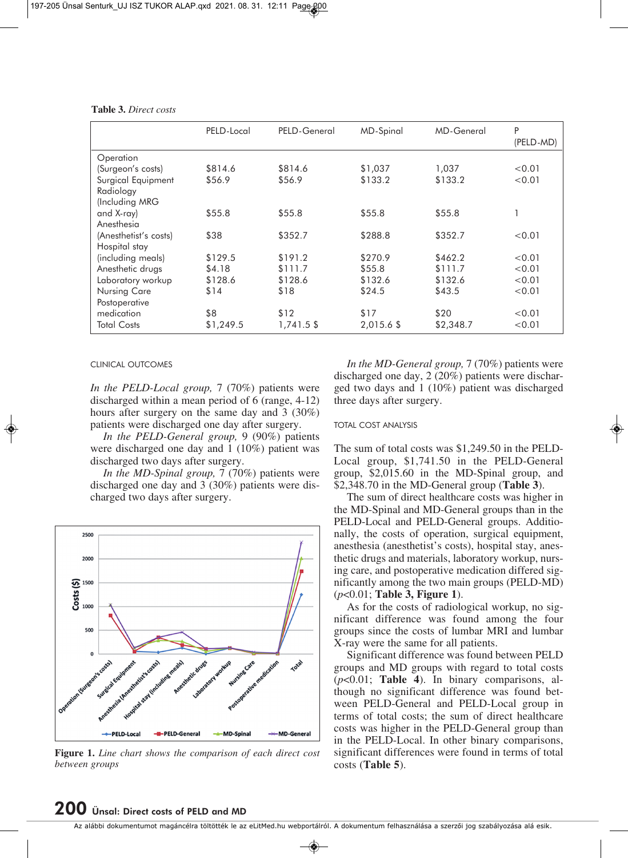|                       | PELD-Local | PELD-General | <b>MD-Spinal</b> | <b>MD-General</b> | P<br>(PELD-MD) |
|-----------------------|------------|--------------|------------------|-------------------|----------------|
| Operation             |            |              |                  |                   |                |
| (Surgeon's costs)     | \$814.6    | \$814.6      | \$1,037          | 1,037             | < 0.01         |
| Surgical Equipment    | \$56.9     | \$56.9       | \$133.2          | \$133.2           | < 0.01         |
| Radiology             |            |              |                  |                   |                |
| (Including MRG        |            |              |                  |                   |                |
| and X-ray)            | \$55.8     | \$55.8       | \$55.8           | \$55.8            |                |
| Anesthesia            |            |              |                  |                   |                |
| (Anesthetist's costs) | \$38       | \$352.7      | \$288.8          | \$352.7           | < 0.01         |
| Hospital stay         |            |              |                  |                   |                |
| (including meals)     | \$129.5    | \$191.2      | \$270.9          | \$462.2           | < 0.01         |
| Anesthetic drugs      | \$4.18     | \$111.7      | \$55.8           | \$111.7           | < 0.01         |
| Laboratory workup     | \$128.6    | \$128.6      | \$132.6          | \$132.6           | < 0.01         |
| Nursing Care          | \$14       | \$18         | \$24.5           | \$43.5            | < 0.01         |
| Postoperative         |            |              |                  |                   |                |
| medication            | \$8        | \$12         | \$17             | \$20              | < 0.01         |
| Total Costs           | \$1,249.5  | 1,741.5 \$   | 2,015.6 \$       | \$2,348.7         | < 0.01         |

**Table 3.** *Direct costs* 

CLINICAL OUTCOMES

*In the PELD-Local group,* 7 (70%) patients were discharged within a mean period of 6 (range, 4-12) hours after surgery on the same day and 3 (30%) patients were discharged one day after surgery.

*In the PELD-General group,* 9 (90%) patients were discharged one day and 1 (10%) patient was discharged two days after surgery.

*In the MD-Spinal group,* 7 (70%) patients were discharged one day and 3 (30%) patients were discharged two days after surgery.



**Figure 1.** *Line chart shows the comparison of each direct cost between groups*

*In the MD-General group,* 7 (70%) patients were discharged one day, 2 (20%) patients were dischar ged two days and 1 (10%) patient was discharged three days after surgery.

#### TOTAL COST ANALYSIS

The sum of total costs was \$1,249.50 in the PELD-Local group, \$1,741.50 in the PELD-General group, \$2,015.60 in the MD-Spinal group, and \$2,348.70 in the MD-General group (**Table 3**).

The sum of direct healthcare costs was higher in the MD-Spinal and MD-General groups than in the PELD-Local and PELD-General groups. Additionally, the costs of operation, surgical equipment, anesthesia (anesthetist's costs), hospital stay, anesthetic drugs and materials, laboratory workup, nursing care, and postoperative medication differed significantly among the two main groups (PELD-MD) (*p*<0.01; **Table 3, Figure 1**).

As for the costs of radiological workup, no significant difference was found among the four groups since the costs of lumbar MRI and lumbar X-ray were the same for all patients.

Significant difference was found between PELD groups and MD groups with regard to total costs ( $p$ <0.01; Table 4). In binary comparisons, although no significant difference was found bet ween PELD-General and PELD-Local group in terms of total costs; the sum of direct healthcare costs was higher in the PELD-General group than in the PELD-Local. In other binary comparisons, significant differences were found in terms of total costs (**Table 5**).

## **200 Ünsal: Direct costs of PELD and MD**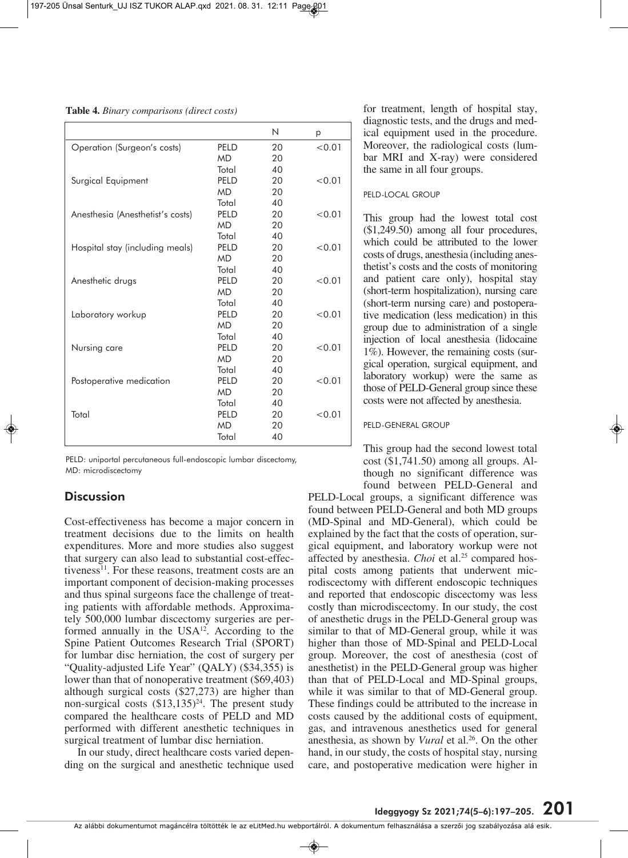**Table 4.** *Binary comparisons (direct costs)* 

|                                  |                  | N  | p      |
|----------------------------------|------------------|----|--------|
| Operation (Surgeon's costs)      | PELD             | 20 | < 0.01 |
|                                  | <b>MD</b>        | 20 |        |
|                                  | Total            | 40 |        |
| Surgical Equipment               | PELD             | 20 | < 0.01 |
|                                  | <b>MD</b>        | 20 |        |
|                                  | Total            | 40 |        |
| Anesthesia (Anesthetist's costs) | PELD             | 20 | < 0.01 |
|                                  | <b>MD</b>        | 20 |        |
|                                  | Total            | 40 |        |
| Hospital stay (including meals)  | PELD             | 20 | < 0.01 |
|                                  | <b>MD</b>        | 20 |        |
|                                  | Total            | 40 |        |
| Anesthetic drugs                 | PFI <sub>D</sub> | 20 | < 0.01 |
|                                  | <b>MD</b>        | 20 |        |
|                                  | Total            | 40 |        |
| Laboratory workup                | PELD             | 20 | < 0.01 |
|                                  | <b>MD</b>        | 20 |        |
|                                  | Total            | 40 |        |
| Nursing care                     | PELD             | 20 | < 0.01 |
|                                  | <b>MD</b>        | 20 |        |
|                                  | Total            | 40 |        |
| Postoperative medication         | PELD             | 20 | < 0.01 |
|                                  | <b>MD</b>        | 20 |        |
|                                  | Total            | 40 |        |
| Total                            | PELD             | 20 | < 0.01 |
|                                  | <b>MD</b>        | 20 |        |
|                                  | Total            | 40 |        |

PELD: uniportal percutaneous full-endoscopic lumbar discectomy, MD: microdiscectomy

### **Discussion**

Cost-effectiveness has become a major concern in treatment decisions due to the limits on health expenditures. More and more studies also suggest that surgery can also lead to substantial cost-effectiveness $^{11}$ . For these reasons, treatment costs are an important component of decision-making processes and thus spinal surgeons face the challenge of treating patients with affordable methods. Approximately 500,000 lumbar discectomy surgeries are performed annually in the USA<sup>12</sup>. According to the Spine Patient Outcomes Research Trial (SPORT) for lumbar disc herniation, the cost of surgery per "Quality-adjusted Life Year" (QALY) (\$34,355) is lower than that of nonoperative treatment (\$69,403) although surgical costs (\$27,273) are higher than non-surgical costs  $(\$13,135)^{24}$ . The present study compared the healthcare costs of PELD and MD performed with different anesthetic techniques in surgical treatment of lumbar disc herniation.

In our study, direct healthcare costs varied depending on the surgical and anesthetic technique used for treatment, length of hospital stay, diagnostic tests, and the drugs and medical equipment used in the procedure. Moreover, the radiological costs (lumbar MRI and X-ray) were considered the same in all four groups.

### PELD-LOCAL GROUP

This group had the lowest total cost (\$1,249.50) among all four procedures, which could be attributed to the lower costs of drugs, anesthesia (including anesthetist's costs and the costs of monitoring and patient care only), hospital stay (short-term hospitalization), nursing care (short-term nursing care) and postoperative medication (less medication) in this group due to administration of a single injection of local anesthesia (lidocaine 1%). However, the remaining costs (surgical operation, surgical equipment, and laboratory workup) were the same as those of PELD-General group since these costs were not affected by anesthesia.

### PELD-GENERAL GROUP

This group had the second lowest total  $cost$  (\$1,741.50) among all groups. Although no significant difference was found between PELD-General and

PELD-Local groups, a significant difference was found between PELD-General and both MD groups (MD-Spinal and MD-General), which could be explained by the fact that the costs of operation, surgical equipment, and laboratory workup were not affected by anesthesia. *Choi* et al.<sup>25</sup> compared hospital costs among patients that underwent microdiscectomy with different endoscopic techniques and reported that endoscopic discectomy was less costly than microdiscectomy. In our study, the cost of anesthetic drugs in the PELD-General group was similar to that of MD-General group, while it was higher than those of MD-Spinal and PELD-Local group. Moreover, the cost of anesthesia (cost of anesthetist) in the PELD-General group was higher than that of PELD-Local and MD-Spinal groups, while it was similar to that of MD-General group. These findings could be attributed to the increase in costs caused by the additional costs of equipment, gas, and intravenous anesthetics used for general anesthesia, as shown by *Vural* et al.<sup>26</sup>. On the other hand, in our study, the costs of hospital stay, nursing care, and postoperative medication were higher in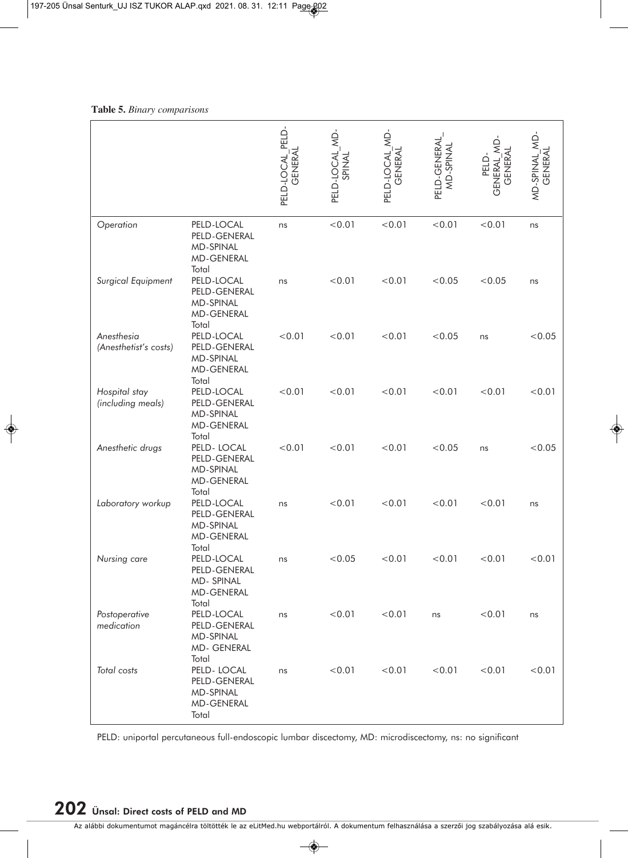|                                     |                                                                                | PELD-LOCAL PELD<br><b>GENERAL</b> | PELD-LOCAL MD<br>SPINAL | PELD-LOCAL MD<br>GENERA | PELD-GENERAI<br>MD-SPINAI | PELD-<br>GENERAL_ML<br>GENERAL | MD-SPINAL_MD-<br><b>GENERAL</b> |
|-------------------------------------|--------------------------------------------------------------------------------|-----------------------------------|-------------------------|-------------------------|---------------------------|--------------------------------|---------------------------------|
| Operation                           | PELD-LOCAL<br>PELD-GENERAL<br><b>MD-SPINAL</b><br><b>MD-GENERAL</b><br>Total   | ns                                | < 0.01                  | < 0.01                  | < 0.01                    | < 0.01                         | ns                              |
| Surgical Equipment                  | PELD-LOCAL<br>PELD-GENERAL<br>MD-SPINAL<br><b>MD-GENERAL</b><br>Total          | ns                                | < 0.01                  | < 0.01                  | < 0.05                    | < 0.05                         | ns                              |
| Anesthesia<br>(Anesthetist's costs) | PELD-LOCAL<br>PELD-GENERAL<br><b>MD-SPINAL</b><br><b>MD-GENERAL</b><br>Total   | < 0.01                            | < 0.01                  | < 0.01                  | < 0.05                    | ns                             | < 0.05                          |
| Hospital stay<br>(including meals)  | PELD-LOCAL<br>PELD-GENERAL<br><b>MD-SPINAL</b><br><b>MD-GENERAL</b>            | < 0.01                            | < 0.01                  | < 0.01                  | < 0.01                    | < 0.01                         | < 0.01                          |
| Anesthetic drugs                    | Total<br>PELD-LOCAL<br>PELD-GENERAL<br><b>MD-SPINAL</b><br><b>MD-GENERAL</b>   | < 0.01                            | < 0.01                  | < 0.01                  | < 0.05                    | ns                             | < 0.05                          |
| Laboratory workup                   | Total<br>PELD-LOCAL<br>PELD-GENERAL<br><b>MD-SPINAL</b><br><b>MD-GENERAL</b>   | ns                                | < 0.01                  | < 0.01                  | < 0.01                    | < 0.01                         | ns                              |
| Nursing care                        | Total<br>PELD-LOCAL<br>PELD-GENERAL<br>MD-SPINAL<br><b>MD-GENERAL</b><br>Total | ns                                | < 0.05                  | < 0.01                  | < 0.01                    | < 0.01                         | < 0.01                          |
| Postoperative<br>medication         | PELD-LOCAL<br>PELD-GENERAL<br>MD-SPINAL<br>MD- GENERAL<br>Total                | ns                                | < 0.01                  | < 0.01                  | ns                        | < 0.01                         | ns                              |
| Total costs                         | PELD-LOCAL<br>PELD-GENERAL<br>MD-SPINAL<br><b>MD-GENERAL</b><br>Total          | ns                                | < 0.01                  | < 0.01                  | < 0.01                    | < 0.01                         | < 0.01                          |

### **Table 5.** *Binary comparisons*

PELD: uniportal percutaneous full-endoscopic lumbar discectomy, MD: microdiscectomy, ns: no significant

# **202 Ünsal: Direct costs of PELD and MD**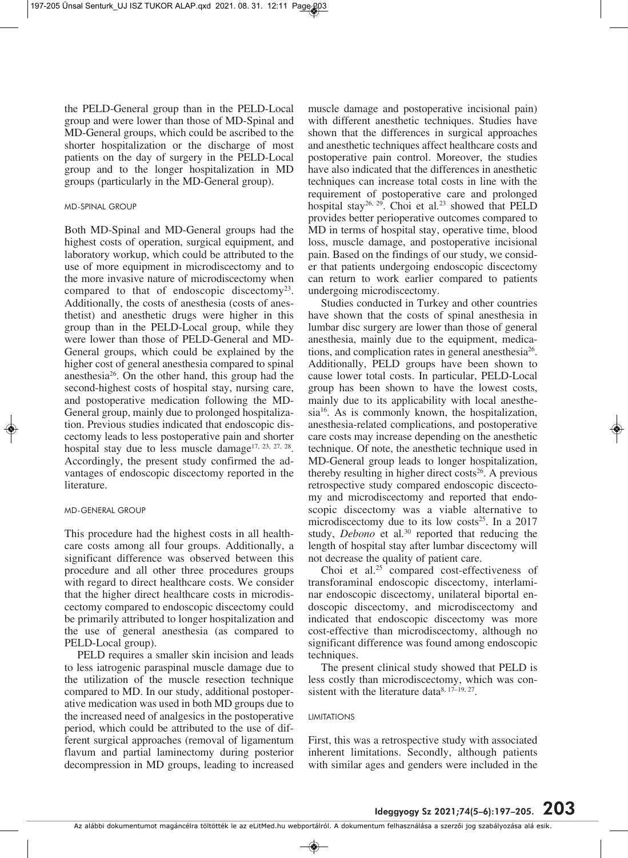the PELD-General group than in the PELD-Local group and were lower than those of MD-Spinal and MD-General groups, which could be ascribed to the shorter hospitalization or the discharge of most patients on the day of surgery in the PELD-Local group and to the longer hospitalization in MD groups (particularly in the MD-General group).

### MD-SPINAL GROUP

Both MD-Spinal and MD-General groups had the highest costs of operation, surgical equipment, and laboratory workup, which could be attributed to the use of more equipment in microdiscectomy and to the more invasive nature of microdiscectomy when compared to that of endoscopic discectomy23. Additionally, the costs of anesthesia (costs of anesthetist) and anesthetic drugs were higher in this group than in the PELD-Local group, while they were lower than those of PELD-General and MD-General groups, which could be explained by the higher cost of general anesthesia compared to spinal anesthesia26. On the other hand, this group had the second-highest costs of hospital stay, nursing care, and postoperative medication following the MD-General group, mainly due to prolonged hospitalization. Previous studies indicated that endoscopic discectomy leads to less postoperative pain and shorter hospital stay due to less muscle damage<sup>17, 23, 27, 28</sup>. Accordingly, the present study confirmed the advantages of endoscopic discectomy reported in the literature.

### MD-GENERAL GROUP

This procedure had the highest costs in all healthcare costs among all four groups. Additionally, a significant difference was observed between this procedure and all other three procedures groups with regard to direct healthcare costs. We consider that the higher direct healthcare costs in microdiscectomy compared to endoscopic discectomy could be primarily attributed to longer hospitalization and the use of general anesthesia (as compared to PELD-Local group).

PELD requires a smaller skin incision and leads to less iatrogenic paraspinal muscle damage due to the utilization of the muscle resection technique compared to MD. In our study, additional postoperative medication was used in both MD groups due to the increased need of analgesics in the postoperative period, which could be attributed to the use of different surgical approaches (removal of ligamentum flavum and partial laminectomy during posterior decompression in MD groups, leading to increased

muscle damage and postoperative incisional pain) with different anesthetic techniques. Studies have shown that the differences in surgical approaches and anesthetic techniques affect healthcare costs and postoperative pain control. Moreover, the studies have also indicated that the differences in anesthetic techniques can increase total costs in line with the requirement of postoperative care and prolonged hospital stay26, 29. Choi et al*.* <sup>23</sup> showed that PELD provides better perioperative outcomes compared to MD in terms of hospital stay, operative time, blood loss, muscle damage, and postoperative incisional pain. Based on the findings of our study, we consider that patients undergoing endoscopic discectomy can return to work earlier compared to patients undergoing microdiscectomy.

Studies conducted in Turkey and other countries have shown that the costs of spinal anesthesia in lumbar disc surgery are lower than those of general anesthesia, mainly due to the equipment, medications, and complication rates in general anesthesia<sup>26</sup>. Additionally, PELD groups have been shown to cause lower total costs. In particular, PELD-Local group has been shown to have the lowest costs, mainly due to its applicability with local anesthesia<sup>16</sup>. As is commonly known, the hospitalization, anesthesia-related complications, and postoperative care costs may increase depending on the anesthetic technique. Of note, the anesthetic technique used in MD-General group leads to longer hospitalization, thereby resulting in higher direct costs<sup>26</sup>. A previous retrospective study compared endoscopic discectomy and microdiscectomy and reported that endoscopic discectomy was a viable alternative to microdiscectomy due to its low costs<sup>25</sup>. In a 2017 study, *Debono* et al*.* <sup>30</sup> reported that reducing the length of hospital stay after lumbar discectomy will not decrease the quality of patient care.

Choi et al.<sup>25</sup> compared cost-effectiveness of trans foraminal endoscopic discectomy, interlaminar endoscopic discectomy, unilateral biportal endoscopic discectomy, and microdiscectomy and indicated that endoscopic discectomy was more cost-effective than microdiscectomy, although no significant difference was found among endoscopic techniques.

The present clinical study showed that PELD is less costly than microdiscectomy, which was consistent with the literature data $8, 17-19, 27$ .

### LIMITATIONS

First, this was a retrospective study with associated inherent limitations. Secondly, although patients with similar ages and genders were included in the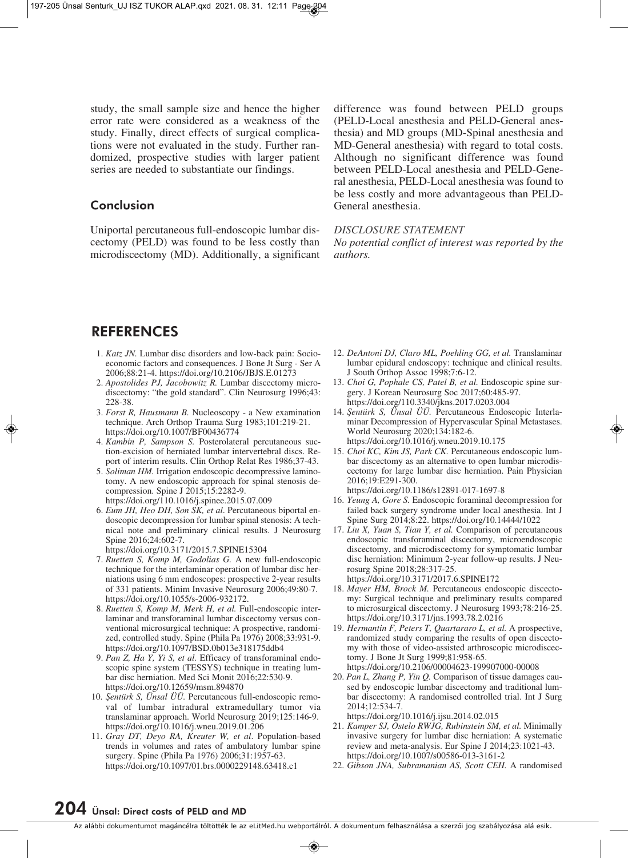study, the small sample size and hence the higher error rate were considered as a weakness of the study. Finally, direct effects of surgical complications were not evaluated in the study. Further randomized, prospective studies with larger patient series are needed to substantiate our findings.

### **Conclusion**

Uniportal percutaneous full-endoscopic lumbar discectomy (PELD) was found to be less costly than microdiscectomy (MD). Additionally, a significant

difference was found between PELD groups (PELD-Local anesthesia and PELD-General anesthesia) and MD groups (MD-Spinal anesthesia and MD-General anesthesia) with regard to total costs. Although no significant difference was found between PELD-Local anesthesia and PELD-General anesthesia, PELD-Local anesthesia was found to be less costly and more advantageous than PELD-General anesthesia.

### *DISCLOSURE STATEMENT*

*No potential conflict of interest was reported by the authors.*

### **REFERENCES**

- 1. *Katz JN*. Lumbar disc disorders and low-back pain: Socioeconomic factors and consequences. J Bone Jt Surg - Ser A 2006;88:21-4. https://doi.org/10.2106/JBJS.E.01273
- 2. *Apostolides PJ, Jacobowitz R.* Lumbar discectomy microdiscectomy: "the gold standard". Clin Neurosurg 1996;43: 228-38.
- 3. *Forst R, Hausmann B.* Nucleoscopy a New examination technique. Arch Orthop Trauma Surg 1983;101:219-21. https://doi.org/10.1007/BF00436774
- 4. *Kambin P, Sampson S.* Posterolateral percutaneous suction-excision of herniated lumbar intervertebral discs. Re port of interim results. Clin Orthop Relat Res 1986;37-43.
- 5. *Soliman HM.* Irrigation endoscopic decompressive laminotomy. A new endoscopic approach for spinal stenosis decompression. Spine J 2015;15:2282-9. https://doi.org/110.1016/j.spinee.2015.07.009
- 6. *Eum JH, Heo DH, Son SK, et al*. Percutaneous biportal en doscopic decompression for lumbar spinal stenosis: A technical note and preliminary clinical results. J Neurosurg Spine 2016;24:602-7.
- https://doi.org/10.3171/2015.7.SPINE15304
- 7. *Ruetten S, Komp M, Godolias G.* A new full-endoscopic technique for the interlaminar operation of lumbar disc herniations using 6 mm endoscopes: prospective 2-year results of 331 patients. Minim Invasive Neurosurg 2006;49:80-7. https://doi.org/10.1055/s-2006-932172.
- 8. *Ruetten S, Komp M, Merk H, et al.* Full-endoscopic interlaminar and transforaminal lumbar discectomy versus conventional microsurgical technique: A prospective, randomized, controlled study. Spine (Phila Pa 1976) 2008;33:931-9. https://doi.org/10.1097/BSD.0b013e318175ddb4
- 9. *Pan Z, Ha Y, Yi S, et al.* Efficacy of transforaminal endoscopic spine system (TESSYS) technique in treating lumbar disc herniation. Med Sci Monit 2016;22:530-9. https://doi.org/10.12659/msm.894870
- 10. *Şentürk S, Ünsal ÜÜ*. Percutaneous full-endoscopic removal of lumbar intradural extramedullary tumor via translaminar approach. World Neurosurg 2019;125:146-9. https://doi.org/10.1016/j.wneu.2019.01.206
- 11. *Gray DT, Deyo RA, Kreuter W, et al*. Population-based trends in volumes and rates of ambulatory lumbar spine surgery. Spine (Phila Pa 1976) 2006;31:1957-63. https://doi.org/10.1097/01.brs.0000229148.63418.c1
- 12. *DeAntoni DJ, Claro ML, Poehling GG, et al.* Translaminar lumbar epidural endoscopy: technique and clinical results. J South Orthop Assoc 1998;7:6-12.
- 13. *Choi G, Pophale CS, Patel B, et al.* Endoscopic spine surgery. J Korean Neurosurg Soc 2017;60:485-97. https://doi.org/110.3340/jkns.2017.0203.004
- 14. *Şentürk S, Ünsal ÜÜ*. Percutaneous Endoscopic Interlaminar Decompression of Hypervascular Spinal Metastases. World Neurosurg 2020;134:182-6. https://doi.org/10.1016/j.wneu.2019.10.175
- 15. *Choi KC, Kim JS, Park CK.* Percutaneous endoscopic lumbar discectomy as an alternative to open lumbar microdiscectomy for large lumbar disc herniation. Pain Physician 2016;19:E291-300.

https://doi.org/10.1186/s12891-017-1697-8

- 16. *Yeung A, Gore S.* Endoscopic foraminal decompression for failed back surgery syndrome under local anesthesia. Int J Spine Surg 2014;8:22. https://doi.org/10.14444/1022
- 17. *Liu X, Yuan S, Tian Y, et al.* Comparison of percutaneous en doscopic transforaminal discectomy, microendoscopic dis cectomy, and microdiscectomy for symptomatic lumbar disc herniation: Minimum 2-year follow-up results. J Neuro surg Spine 2018;28:317-25.
	- https://doi.org/10.3171/2017.6.SPINE172
- 18. *Mayer HM, Brock M.* Percutaneous endoscopic discectomy: Surgical technique and preliminary results compared to microsurgical discectomy. J Neurosurg 1993;78:216-25. https://doi.org/10.3171/jns.1993.78.2.0216
- 19. *Hermantin F, Peters T, Quartararo L, et al.* A prospective, randomized study comparing the results of open discectomy with those of video-assisted arthroscopic microdiscectomy. J Bone Jt Surg 1999;81:958-65. https://doi.org/10.2106/00004623-199907000-00008
- 20. *Pan L, Zhang P, Yin Q.* Comparison of tissue damages cau sed by endoscopic lumbar discectomy and traditional lumbar discectomy: A randomised controlled trial. Int J Surg 2014;12:534-7.

https://doi.org/10.1016/j.ijsu.2014.02.015

- 21. *Kamper SJ, Ostelo RWJG, Rubinstein SM, et al.* Minimally invasive surgery for lumbar disc herniation: A systematic review and meta-analysis. Eur Spine J 2014;23:1021-43. https://doi.org/10.1007/s00586-013-3161-2
- 22. *Gibson JNA, Subramanian AS, Scott CEH.* A randomised

# **204 Ünsal: Direct costs of PELD and MD**